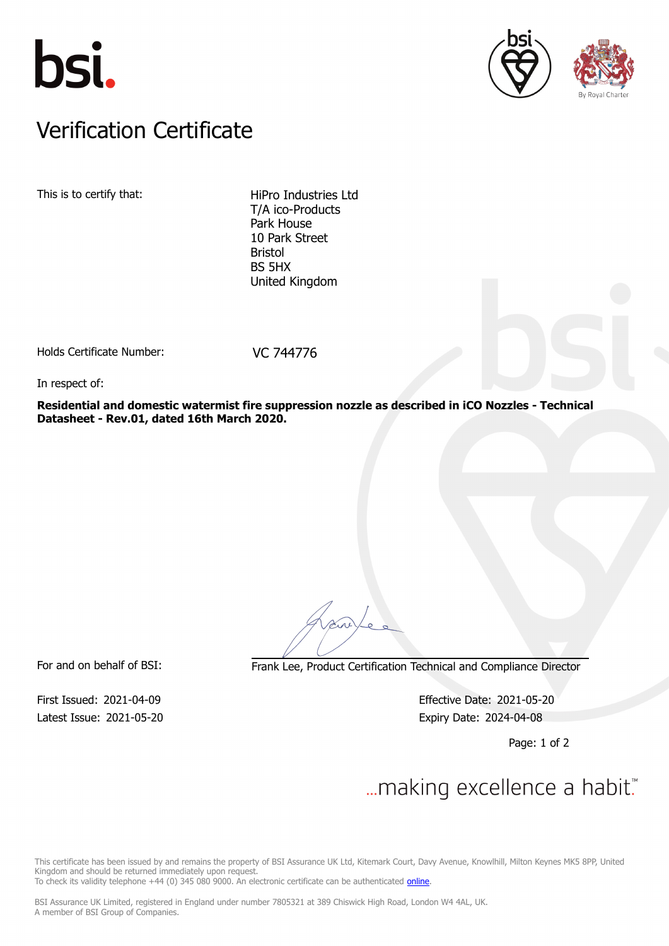





### Verification Certificate Verification Certificate

This is to certify that: HiPro Industries Ltd

T/A ico-Products Park House 10 Park Street Bristol BS 5HX United Kingdom

Holds Certificate Number: VC 744776

In respect of:

**Residential and domestic watermist fire suppression nozzle as described in iCO Nozzles - Technical Datasheet - Rev.01, dated 16th March 2020.**

For and on behalf of BSI: Frank Lee, Product Certification Technical and Compliance Director

Latest Issue: 2021-05-20 **Expiry Date: 2024-04-08** 

First Issued: 2021-04-09 Effective Date: 2021-05-20

Page: 1 of 2

# $\mathcal{L}$

This certificate has been issued by and remains the property of BSI Assurance UK Ltd, Kitemark Court, Davy Avenue, Knowlhill, Milton Keynes MK5 8PP, United Kingdom and should be returned immediately upon request.

To check its validity telephone +44 (0) 345 080 9000. An electronic certificate can be authenticated *[online](https://pgplus.bsigroup.com/CertificateValidation/CertificateValidator.aspx?CertificateNumber=VC+744776&ReIssueDate=20%2f05%2f2021&Template=uk)*.

BSI Assurance UK Limited, registered in England under number 7805321 at 389 Chiswick High Road, London W4 4AL, UK. A member of BSI Group of Companies.